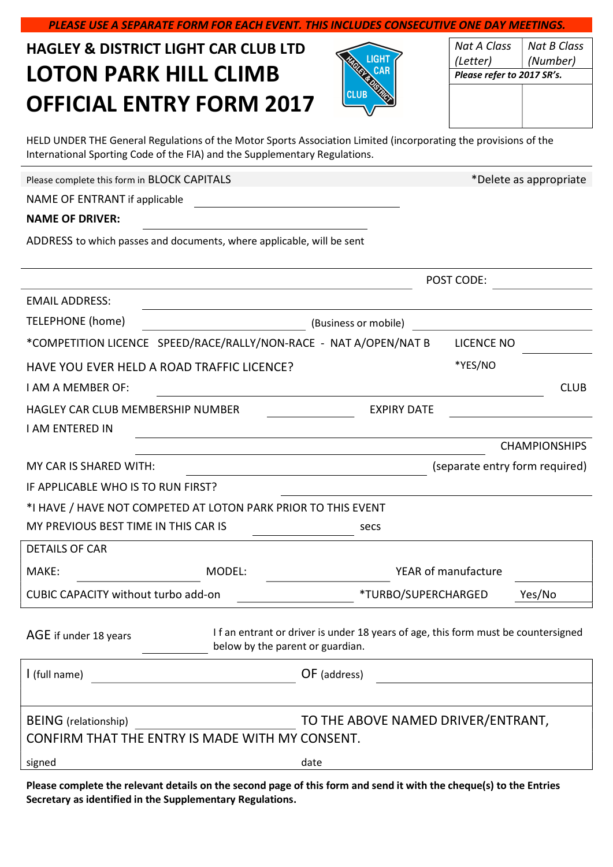| <b>HAGLEY &amp; DISTRICT LIGHT CAR CLUB LTD</b>                                                                                                                                               |                                  |      | LIGH.                                                                             | <b>Nat A Class</b><br>(Letter) | <b>Nat B Class</b><br>(Number) |
|-----------------------------------------------------------------------------------------------------------------------------------------------------------------------------------------------|----------------------------------|------|-----------------------------------------------------------------------------------|--------------------------------|--------------------------------|
| <b>LOTON PARK HILL CLIMB</b>                                                                                                                                                                  |                                  |      | CAR                                                                               | Please refer to 2017 SR's.     |                                |
| <b>OFFICIAL ENTRY FORM 2017</b>                                                                                                                                                               |                                  |      |                                                                                   |                                |                                |
|                                                                                                                                                                                               |                                  |      |                                                                                   |                                |                                |
| HELD UNDER THE General Regulations of the Motor Sports Association Limited (incorporating the provisions of the<br>International Sporting Code of the FIA) and the Supplementary Regulations. |                                  |      |                                                                                   |                                |                                |
| Please complete this form in BLOCK CAPITALS                                                                                                                                                   |                                  |      |                                                                                   |                                | *Delete as appropriate         |
| NAME OF ENTRANT if applicable                                                                                                                                                                 |                                  |      |                                                                                   |                                |                                |
| <b>NAME OF DRIVER:</b>                                                                                                                                                                        |                                  |      |                                                                                   |                                |                                |
| ADDRESS to which passes and documents, where applicable, will be sent                                                                                                                         |                                  |      |                                                                                   |                                |                                |
|                                                                                                                                                                                               |                                  |      |                                                                                   | POST CODE:                     |                                |
| <b>EMAIL ADDRESS:</b>                                                                                                                                                                         |                                  |      |                                                                                   |                                |                                |
| TELEPHONE (home)                                                                                                                                                                              |                                  |      | (Business or mobile)                                                              |                                |                                |
| *COMPETITION LICENCE SPEED/RACE/RALLY/NON-RACE - NAT A/OPEN/NAT B                                                                                                                             |                                  |      |                                                                                   | <b>LICENCE NO</b>              |                                |
| HAVE YOU EVER HELD A ROAD TRAFFIC LICENCE?                                                                                                                                                    |                                  |      |                                                                                   | *YES/NO                        |                                |
| <b>I AM A MEMBER OF:</b>                                                                                                                                                                      |                                  |      |                                                                                   |                                | <b>CLUB</b>                    |
| <b>HAGLEY CAR CLUB MEMBERSHIP NUMBER</b>                                                                                                                                                      |                                  |      | <b>EXPIRY DATE</b>                                                                |                                |                                |
| I AM ENTERED IN                                                                                                                                                                               |                                  |      |                                                                                   |                                |                                |
|                                                                                                                                                                                               |                                  |      |                                                                                   |                                | <b>CHAMPIONSHIPS</b>           |
| MY CAR IS SHARED WITH:                                                                                                                                                                        |                                  |      |                                                                                   | (separate entry form required) |                                |
| IF APPLICABLE WHO IS TO RUN FIRST?                                                                                                                                                            |                                  |      |                                                                                   |                                |                                |
| *I HAVE / HAVE NOT COMPETED AT LOTON PARK PRIOR TO THIS EVENT                                                                                                                                 |                                  |      |                                                                                   |                                |                                |
| MY PREVIOUS BEST TIME IN THIS CAR IS                                                                                                                                                          |                                  |      | secs                                                                              |                                |                                |
| <b>DETAILS OF CAR</b>                                                                                                                                                                         |                                  |      |                                                                                   |                                |                                |
| MAKE:                                                                                                                                                                                         | MODEL:                           |      |                                                                                   | <b>YEAR of manufacture</b>     |                                |
| <b>CUBIC CAPACITY without turbo add-on</b>                                                                                                                                                    |                                  |      | *TURBO/SUPERCHARGED                                                               |                                | Yes/No                         |
| AGE if under 18 years                                                                                                                                                                         | below by the parent or guardian. |      | If an entrant or driver is under 18 years of age, this form must be countersigned |                                |                                |
| I (full name)                                                                                                                                                                                 |                                  |      | OF (address)                                                                      |                                |                                |
| <b>BEING</b> (relationship)<br>CONFIRM THAT THE ENTRY IS MADE WITH MY CONSENT.                                                                                                                |                                  |      | TO THE ABOVE NAMED DRIVER/ENTRANT,                                                |                                |                                |
| signed                                                                                                                                                                                        |                                  | date |                                                                                   |                                |                                |
|                                                                                                                                                                                               |                                  |      |                                                                                   |                                |                                |

PLEASE USE A SEPARATE FORM FOR EACH EVENT. THIS INCLUDES CONSECUTIVE ONE DAY MEETINGS.

Please complete the relevant details on the second page of this form and send it with the cheque(s) to the Entries Secretary as identified in the Supplementary Regulations.